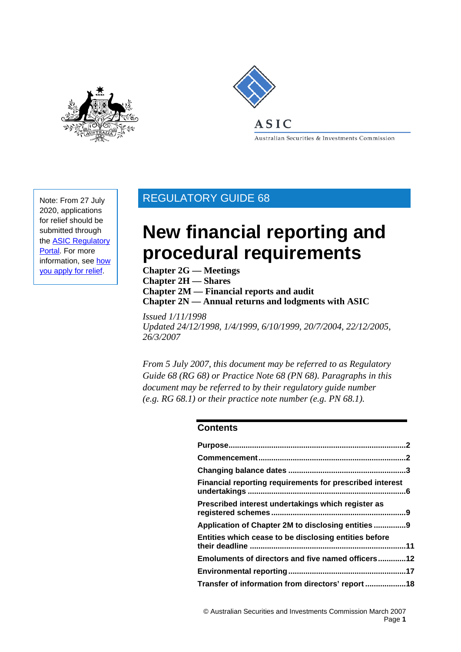



Australian Securities & Investments Commission

Note: From 27 July 2020, applications for relief should be submitted through th[e ASIC Regulatory](https://regulatoryportal.asic.gov.au) [Portal.](https://regulatoryportal.asic.gov.au) For more information, see [how](https://asic.gov.au/about-asic/dealing-with-asic/apply-for-relief/changes-to-how-you-apply-for-relief/) you [apply for relie](https://asic.gov.au/about-asic/dealing-with-asic/apply-for-relief/changes-to-how-you-apply-for-relief/)f.

## REGULATORY GUIDE 68

# **New financial reporting and procedural requirements**

**Chapter 2G — Meetings Chapter 2H — Shares Chapter 2M — Financial reports and audit Chapter 2N — Annual returns and lodgments with ASIC**

*Issued 1/11/1998 Updated 24/12/1998, 1/4/1999, 6/10/1999, 20/7/2004, 22/12/2005, 26/3/2007* 

*From 5 July 2007, this document may be referred to as Regulatory Guide 68 (RG 68) or Practice Note 68 (PN 68). Paragraphs in this document may be referred to by their regulatory guide number (e.g. RG 68.1) or their practice note number (e.g. PN 68.1).* 

### **Contents**

| Financial reporting requirements for prescribed interest |
|----------------------------------------------------------|
| Prescribed interest undertakings which register as       |
| Application of Chapter 2M to disclosing entities 9       |
| Entities which cease to be disclosing entities before    |
| Emoluments of directors and five named officers12        |
|                                                          |
|                                                          |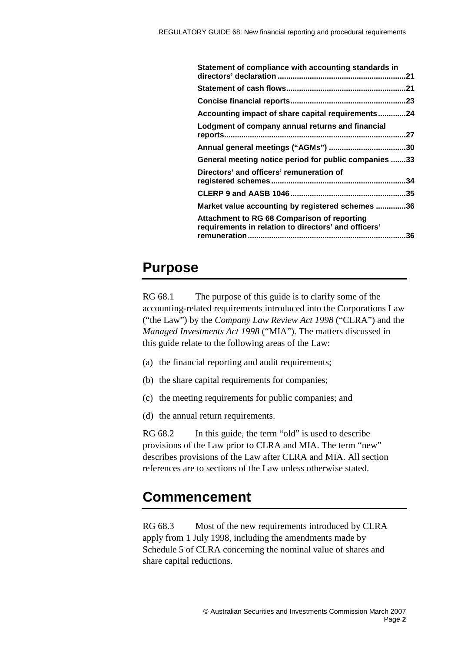| Statement of compliance with accounting standards in                                                |     |
|-----------------------------------------------------------------------------------------------------|-----|
|                                                                                                     | 21  |
|                                                                                                     |     |
|                                                                                                     |     |
| Accounting impact of share capital requirements24                                                   |     |
| Lodgment of company annual returns and financial                                                    |     |
|                                                                                                     |     |
| General meeting notice period for public companies 33                                               |     |
| Directors' and officers' remuneration of                                                            |     |
|                                                                                                     | .35 |
| Market value accounting by registered schemes 36                                                    |     |
| Attachment to RG 68 Comparison of reporting<br>requirements in relation to directors' and officers' | .36 |
|                                                                                                     |     |

## <span id="page-1-0"></span>**Purpose**

RG 68.1 The purpose of this guide is to clarify some of the accounting-related requirements introduced into the Corporations Law ("the Law") by the *Company Law Review Act 1998* ("CLRA") and the *Managed Investments Act 1998* ("MIA"). The matters discussed in this guide relate to the following areas of the Law:

- (a) the financial reporting and audit requirements;
- (b) the share capital requirements for companies;
- (c) the meeting requirements for public companies; and
- (d) the annual return requirements.

RG 68.2 In this guide, the term "old" is used to describe provisions of the Law prior to CLRA and MIA. The term "new" describes provisions of the Law after CLRA and MIA. All section references are to sections of the Law unless otherwise stated.

## <span id="page-1-1"></span>**Commencement**

RG 68.3 Most of the new requirements introduced by CLRA apply from 1 July 1998, including the amendments made by Schedule 5 of CLRA concerning the nominal value of shares and share capital reductions.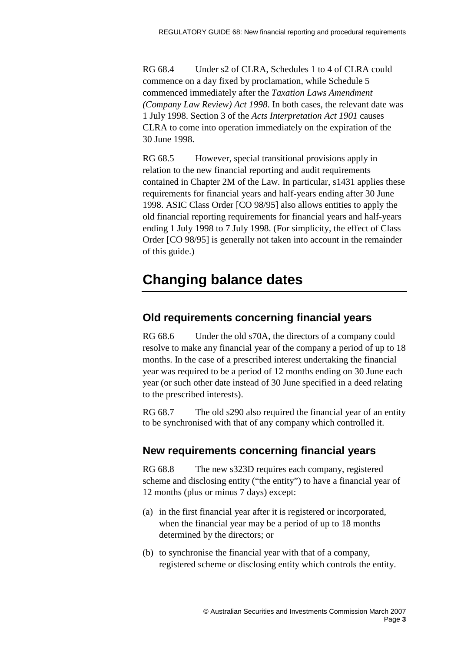RG 68.4 Under s2 of CLRA, Schedules 1 to 4 of CLRA could commence on a day fixed by proclamation, while Schedule 5 commenced immediately after the *Taxation Laws Amendment (Company Law Review) Act 1998*. In both cases, the relevant date was 1 July 1998. Section 3 of the *Acts Interpretation Act 1901* causes CLRA to come into operation immediately on the expiration of the 30 June 1998.

RG 68.5 However, special transitional provisions apply in relation to the new financial reporting and audit requirements contained in Chapter 2M of the Law. In particular, s1431 applies these requirements for financial years and half-years ending after 30 June 1998. ASIC Class Order [CO 98/95] also allows entities to apply the old financial reporting requirements for financial years and half-years ending 1 July 1998 to 7 July 1998. (For simplicity, the effect of Class Order [CO 98/95] is generally not taken into account in the remainder of this guide.)

## <span id="page-2-0"></span>**Changing balance dates**

### **Old requirements concerning financial years**

RG 68.6 Under the old s70A, the directors of a company could resolve to make any financial year of the company a period of up to 18 months. In the case of a prescribed interest undertaking the financial year was required to be a period of 12 months ending on 30 June each year (or such other date instead of 30 June specified in a deed relating to the prescribed interests).

RG 68.7 The old s290 also required the financial year of an entity to be synchronised with that of any company which controlled it.

### **New requirements concerning financial years**

RG 68.8 The new s323D requires each company, registered scheme and disclosing entity ("the entity") to have a financial year of 12 months (plus or minus 7 days) except:

- (a) in the first financial year after it is registered or incorporated, when the financial year may be a period of up to 18 months determined by the directors; or
- (b) to synchronise the financial year with that of a company, registered scheme or disclosing entity which controls the entity.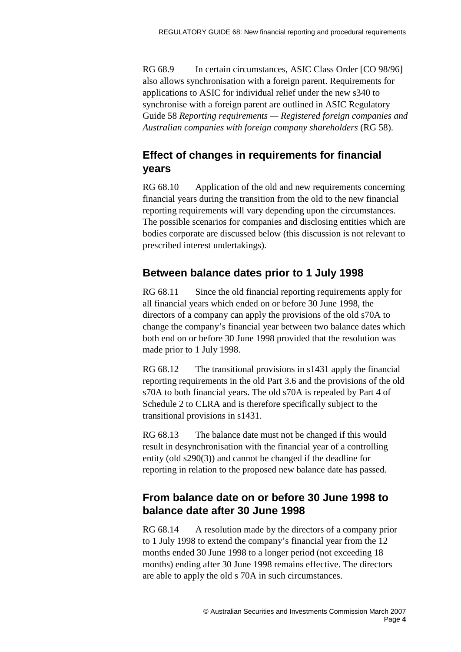RG 68.9 In certain circumstances, ASIC Class Order [CO 98/96] also allows synchronisation with a foreign parent. Requirements for applications to ASIC for individual relief under the new s340 to synchronise with a foreign parent are outlined in ASIC Regulatory Guide 58 *Reporting requirements — Registered foreign companies and Australian companies with foreign company shareholders* (RG 58).

## **Effect of changes in requirements for financial years**

RG 68.10 Application of the old and new requirements concerning financial years during the transition from the old to the new financial reporting requirements will vary depending upon the circumstances. The possible scenarios for companies and disclosing entities which are bodies corporate are discussed below (this discussion is not relevant to prescribed interest undertakings).

### **Between balance dates prior to 1 July 1998**

RG 68.11 Since the old financial reporting requirements apply for all financial years which ended on or before 30 June 1998, the directors of a company can apply the provisions of the old s70A to change the company's financial year between two balance dates which both end on or before 30 June 1998 provided that the resolution was made prior to 1 July 1998.

RG 68.12 The transitional provisions in s1431 apply the financial reporting requirements in the old Part 3.6 and the provisions of the old s70A to both financial years. The old s70A is repealed by Part 4 of Schedule 2 to CLRA and is therefore specifically subject to the transitional provisions in s1431.

RG 68.13 The balance date must not be changed if this would result in desynchronisation with the financial year of a controlling entity (old s290(3)) and cannot be changed if the deadline for reporting in relation to the proposed new balance date has passed.

## **From balance date on or before 30 June 1998 to balance date after 30 June 1998**

RG 68.14 A resolution made by the directors of a company prior to 1 July 1998 to extend the company's financial year from the 12 months ended 30 June 1998 to a longer period (not exceeding 18 months) ending after 30 June 1998 remains effective. The directors are able to apply the old s 70A in such circumstances.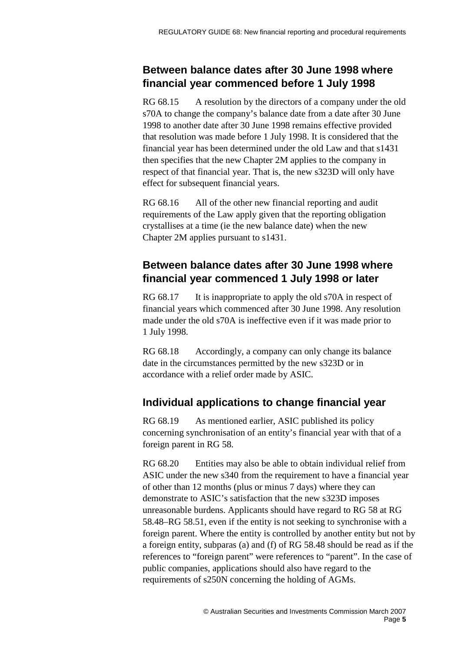## **Between balance dates after 30 June 1998 where financial year commenced before 1 July 1998**

RG 68.15 A resolution by the directors of a company under the old s70A to change the company's balance date from a date after 30 June 1998 to another date after 30 June 1998 remains effective provided that resolution was made before 1 July 1998. It is considered that the financial year has been determined under the old Law and that s1431 then specifies that the new Chapter 2M applies to the company in respect of that financial year. That is, the new s323D will only have effect for subsequent financial years.

RG 68.16 All of the other new financial reporting and audit requirements of the Law apply given that the reporting obligation crystallises at a time (ie the new balance date) when the new Chapter 2M applies pursuant to s1431.

## **Between balance dates after 30 June 1998 where financial year commenced 1 July 1998 or later**

RG 68.17 It is inappropriate to apply the old s70A in respect of financial years which commenced after 30 June 1998. Any resolution made under the old s70A is ineffective even if it was made prior to 1 July 1998.

RG 68.18 Accordingly, a company can only change its balance date in the circumstances permitted by the new s323D or in accordance with a relief order made by ASIC.

## **Individual applications to change financial year**

RG 68.19 As mentioned earlier, ASIC published its policy concerning synchronisation of an entity's financial year with that of a foreign parent in RG 58.

RG 68.20 Entities may also be able to obtain individual relief from ASIC under the new s340 from the requirement to have a financial year of other than 12 months (plus or minus 7 days) where they can demonstrate to ASIC's satisfaction that the new s323D imposes unreasonable burdens. Applicants should have regard to RG 58 at RG 58.48–RG 58.51, even if the entity is not seeking to synchronise with a foreign parent. Where the entity is controlled by another entity but not by a foreign entity, subparas (a) and (f) of RG 58.48 should be read as if the references to "foreign parent" were references to "parent". In the case of public companies, applications should also have regard to the requirements of s250N concerning the holding of AGMs.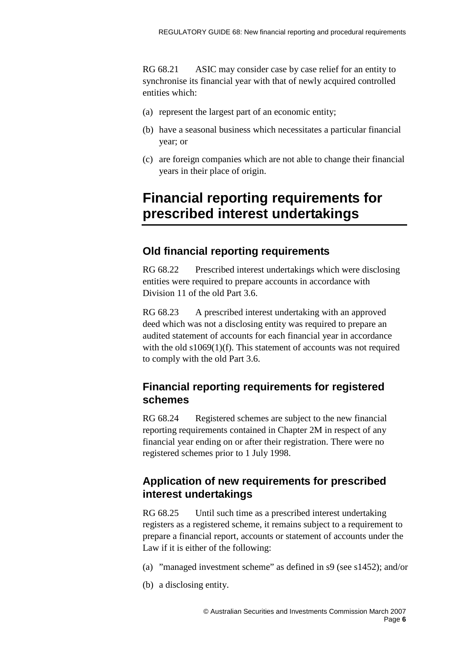RG 68.21 ASIC may consider case by case relief for an entity to synchronise its financial year with that of newly acquired controlled entities which:

- (a) represent the largest part of an economic entity;
- (b) have a seasonal business which necessitates a particular financial year; or
- (c) are foreign companies which are not able to change their financial years in their place of origin.

## <span id="page-5-0"></span>**Financial reporting requirements for prescribed interest undertakings**

## **Old financial reporting requirements**

RG 68.22 Prescribed interest undertakings which were disclosing entities were required to prepare accounts in accordance with Division 11 of the old Part 3.6.

RG 68.23 A prescribed interest undertaking with an approved deed which was not a disclosing entity was required to prepare an audited statement of accounts for each financial year in accordance with the old  $s1069(1)(f)$ . This statement of accounts was not required to comply with the old Part 3.6.

## **Financial reporting requirements for registered schemes**

RG 68.24 Registered schemes are subject to the new financial reporting requirements contained in Chapter 2M in respect of any financial year ending on or after their registration. There were no registered schemes prior to 1 July 1998.

## **Application of new requirements for prescribed interest undertakings**

RG 68.25 Until such time as a prescribed interest undertaking registers as a registered scheme, it remains subject to a requirement to prepare a financial report, accounts or statement of accounts under the Law if it is either of the following:

- (a) "managed investment scheme" as defined in s9 (see s1452); and/or
- (b) a disclosing entity.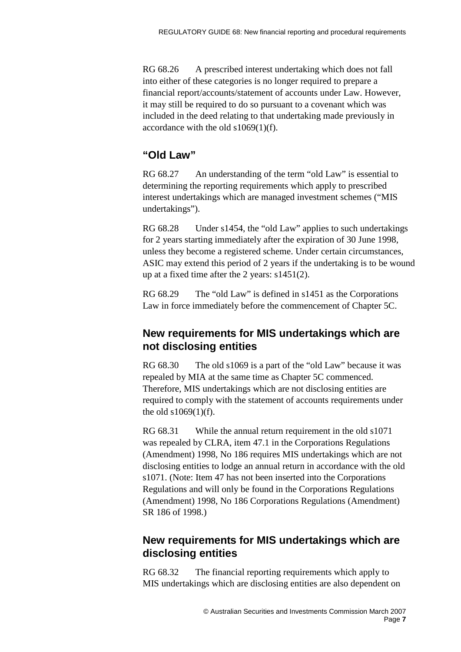RG 68.26 A prescribed interest undertaking which does not fall into either of these categories is no longer required to prepare a financial report/accounts/statement of accounts under Law. However, it may still be required to do so pursuant to a covenant which was included in the deed relating to that undertaking made previously in accordance with the old s1069(1)(f).

### **"Old Law"**

RG 68.27 An understanding of the term "old Law" is essential to determining the reporting requirements which apply to prescribed interest undertakings which are managed investment schemes ("MIS undertakings").

RG 68.28 Under s1454, the "old Law" applies to such undertakings for 2 years starting immediately after the expiration of 30 June 1998, unless they become a registered scheme. Under certain circumstances, ASIC may extend this period of 2 years if the undertaking is to be wound up at a fixed time after the 2 years: s1451(2).

RG 68.29 The "old Law" is defined in s1451 as the Corporations Law in force immediately before the commencement of Chapter 5C.

### **New requirements for MIS undertakings which are not disclosing entities**

RG 68.30 The old s1069 is a part of the "old Law" because it was repealed by MIA at the same time as Chapter 5C commenced. Therefore, MIS undertakings which are not disclosing entities are required to comply with the statement of accounts requirements under the old s1069(1)(f).

RG 68.31 While the annual return requirement in the old s1071 was repealed by CLRA, item 47.1 in the Corporations Regulations (Amendment) 1998, No 186 requires MIS undertakings which are not disclosing entities to lodge an annual return in accordance with the old s1071. (Note: Item 47 has not been inserted into the Corporations Regulations and will only be found in the Corporations Regulations (Amendment) 1998, No 186 Corporations Regulations (Amendment) SR 186 of 1998.)

## **New requirements for MIS undertakings which are disclosing entities**

RG 68.32 The financial reporting requirements which apply to MIS undertakings which are disclosing entities are also dependent on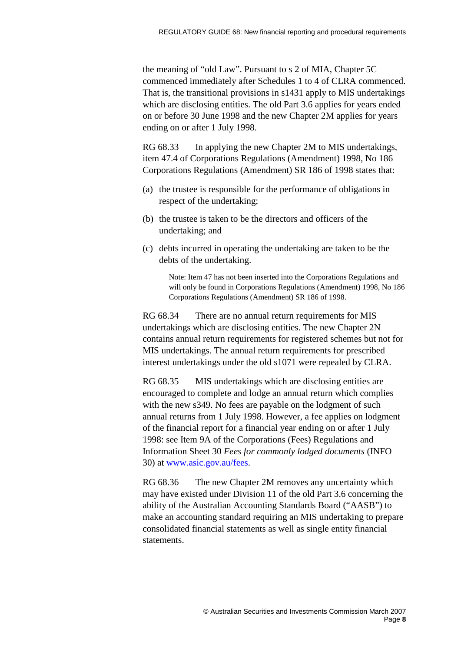the meaning of "old Law". Pursuant to s 2 of MIA, Chapter 5C commenced immediately after Schedules 1 to 4 of CLRA commenced. That is, the transitional provisions in s1431 apply to MIS undertakings which are disclosing entities. The old Part 3.6 applies for years ended on or before 30 June 1998 and the new Chapter 2M applies for years ending on or after 1 July 1998.

RG 68.33 In applying the new Chapter 2M to MIS undertakings, item 47.4 of Corporations Regulations (Amendment) 1998, No 186 Corporations Regulations (Amendment) SR 186 of 1998 states that:

- (a) the trustee is responsible for the performance of obligations in respect of the undertaking;
- (b) the trustee is taken to be the directors and officers of the undertaking; and
- (c) debts incurred in operating the undertaking are taken to be the debts of the undertaking.

Note: Item 47 has not been inserted into the Corporations Regulations and will only be found in Corporations Regulations (Amendment) 1998, No 186 Corporations Regulations (Amendment) SR 186 of 1998.

RG 68.34 There are no annual return requirements for MIS undertakings which are disclosing entities. The new Chapter 2N contains annual return requirements for registered schemes but not for MIS undertakings. The annual return requirements for prescribed interest undertakings under the old s1071 were repealed by CLRA.

RG 68.35 MIS undertakings which are disclosing entities are encouraged to complete and lodge an annual return which complies with the new s349. No fees are payable on the lodgment of such annual returns from 1 July 1998. However, a fee applies on lodgment of the financial report for a financial year ending on or after 1 July 1998: see Item 9A of the Corporations (Fees) Regulations and Information Sheet 30 *Fees for commonly lodged documents* (INFO 30) at [www.asic.gov.au/fees.](http://www.asic.gov.au/fees)

RG 68.36 The new Chapter 2M removes any uncertainty which may have existed under Division 11 of the old Part 3.6 concerning the ability of the Australian Accounting Standards Board ("AASB") to make an accounting standard requiring an MIS undertaking to prepare consolidated financial statements as well as single entity financial statements.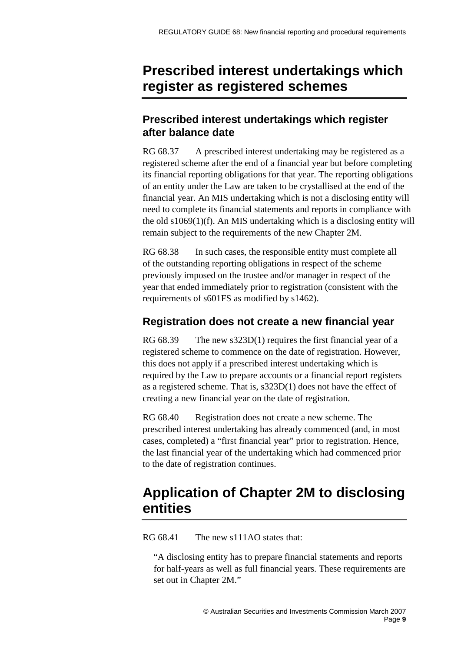## <span id="page-8-0"></span>**Prescribed interest undertakings which register as registered schemes**

## **Prescribed interest undertakings which register after balance date**

RG 68.37 A prescribed interest undertaking may be registered as a registered scheme after the end of a financial year but before completing its financial reporting obligations for that year. The reporting obligations of an entity under the Law are taken to be crystallised at the end of the financial year. An MIS undertaking which is not a disclosing entity will need to complete its financial statements and reports in compliance with the old s1069(1)(f). An MIS undertaking which is a disclosing entity will remain subject to the requirements of the new Chapter 2M.

RG 68.38 In such cases, the responsible entity must complete all of the outstanding reporting obligations in respect of the scheme previously imposed on the trustee and/or manager in respect of the year that ended immediately prior to registration (consistent with the requirements of s601FS as modified by s1462).

## **Registration does not create a new financial year**

RG 68.39 The new s323D(1) requires the first financial year of a registered scheme to commence on the date of registration. However, this does not apply if a prescribed interest undertaking which is required by the Law to prepare accounts or a financial report registers as a registered scheme. That is, s323D(1) does not have the effect of creating a new financial year on the date of registration.

RG 68.40 Registration does not create a new scheme. The prescribed interest undertaking has already commenced (and, in most cases, completed) a "first financial year" prior to registration. Hence, the last financial year of the undertaking which had commenced prior to the date of registration continues.

## <span id="page-8-1"></span>**Application of Chapter 2M to disclosing entities**

RG 68.41 The new s111AO states that:

"A disclosing entity has to prepare financial statements and reports for half-years as well as full financial years. These requirements are set out in Chapter 2M."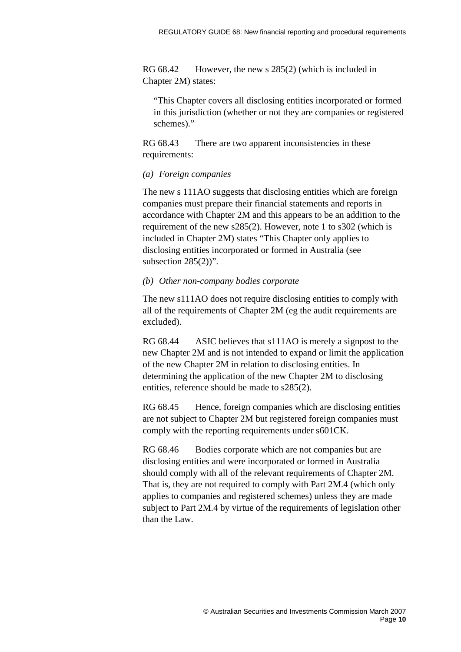RG 68.42 However, the new s 285(2) (which is included in Chapter 2M) states:

"This Chapter covers all disclosing entities incorporated or formed in this jurisdiction (whether or not they are companies or registered schemes)."

RG 68.43 There are two apparent inconsistencies in these requirements:

#### *(a) Foreign companies*

The new s 111AO suggests that disclosing entities which are foreign companies must prepare their financial statements and reports in accordance with Chapter 2M and this appears to be an addition to the requirement of the new s285(2). However, note 1 to s302 (which is included in Chapter 2M) states "This Chapter only applies to disclosing entities incorporated or formed in Australia (see subsection  $285(2)$ ".

#### *(b) Other non-company bodies corporate*

The new s111AO does not require disclosing entities to comply with all of the requirements of Chapter 2M (eg the audit requirements are excluded).

RG 68.44 ASIC believes that s111AO is merely a signpost to the new Chapter 2M and is not intended to expand or limit the application of the new Chapter 2M in relation to disclosing entities. In determining the application of the new Chapter 2M to disclosing entities, reference should be made to s285(2).

RG 68.45 Hence, foreign companies which are disclosing entities are not subject to Chapter 2M but registered foreign companies must comply with the reporting requirements under s601CK.

RG 68.46 Bodies corporate which are not companies but are disclosing entities and were incorporated or formed in Australia should comply with all of the relevant requirements of Chapter 2M. That is, they are not required to comply with Part 2M.4 (which only applies to companies and registered schemes) unless they are made subject to Part 2M.4 by virtue of the requirements of legislation other than the Law.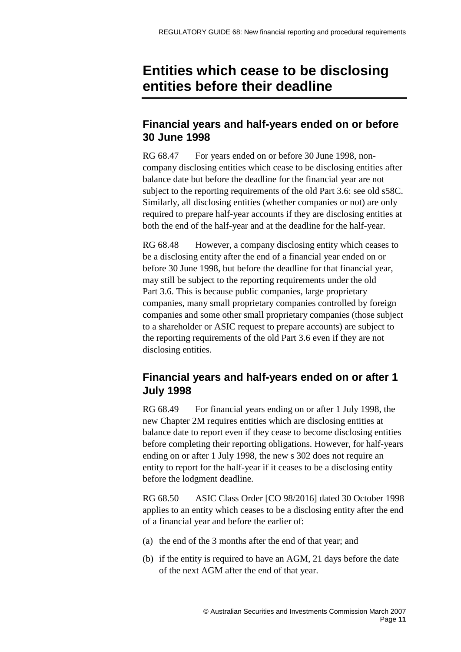## <span id="page-10-0"></span>**Entities which cease to be disclosing entities before their deadline**

## **Financial years and half-years ended on or before 30 June 1998**

RG 68.47 For years ended on or before 30 June 1998, noncompany disclosing entities which cease to be disclosing entities after balance date but before the deadline for the financial year are not subject to the reporting requirements of the old Part 3.6: see old s58C. Similarly, all disclosing entities (whether companies or not) are only required to prepare half-year accounts if they are disclosing entities at both the end of the half-year and at the deadline for the half-year.

RG 68.48 However, a company disclosing entity which ceases to be a disclosing entity after the end of a financial year ended on or before 30 June 1998, but before the deadline for that financial year, may still be subject to the reporting requirements under the old Part 3.6. This is because public companies, large proprietary companies, many small proprietary companies controlled by foreign companies and some other small proprietary companies (those subject to a shareholder or ASIC request to prepare accounts) are subject to the reporting requirements of the old Part 3.6 even if they are not disclosing entities.

## **Financial years and half-years ended on or after 1 July 1998**

RG 68.49 For financial years ending on or after 1 July 1998, the new Chapter 2M requires entities which are disclosing entities at balance date to report even if they cease to become disclosing entities before completing their reporting obligations. However, for half-years ending on or after 1 July 1998, the new s 302 does not require an entity to report for the half-year if it ceases to be a disclosing entity before the lodgment deadline.

RG 68.50 ASIC Class Order [CO 98/2016] dated 30 October 1998 applies to an entity which ceases to be a disclosing entity after the end of a financial year and before the earlier of:

- (a) the end of the 3 months after the end of that year; and
- (b) if the entity is required to have an AGM, 21 days before the date of the next AGM after the end of that year.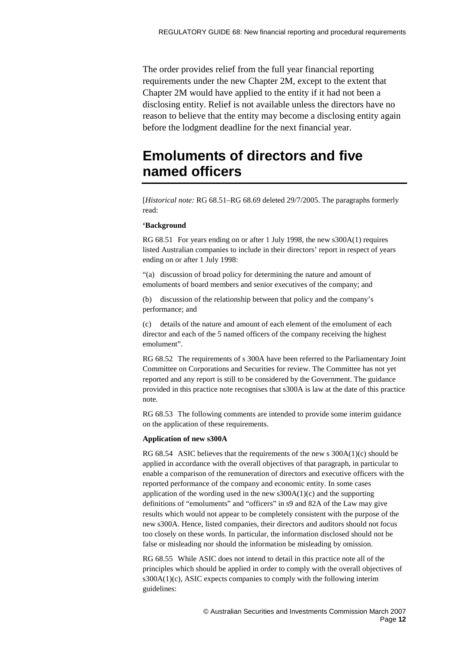The order provides relief from the full year financial reporting requirements under the new Chapter 2M, except to the extent that Chapter 2M would have applied to the entity if it had not been a disclosing entity. Relief is not available unless the directors have no reason to believe that the entity may become a disclosing entity again before the lodgment deadline for the next financial year.

## <span id="page-11-0"></span>**Emoluments of directors and five named officers**

[*Historical note:* RG 68.51–RG 68.69 deleted 29/7/2005. The paragraphs formerly read:

#### **'Background**

RG 68.51 For years ending on or after 1 July 1998, the new s300A(1) requires listed Australian companies to include in their directors' report in respect of years ending on or after 1 July 1998:

"(a) discussion of broad policy for determining the nature and amount of emoluments of board members and senior executives of the company; and

(b) discussion of the relationship between that policy and the company's performance; and

(c) details of the nature and amount of each element of the emolument of each director and each of the 5 named officers of the company receiving the highest emolument".

RG 68.52 The requirements of s 300A have been referred to the Parliamentary Joint Committee on Corporations and Securities for review. The Committee has not yet reported and any report is still to be considered by the Government. The guidance provided in this practice note recognises that s300A is law at the date of this practice note.

RG 68.53 The following comments are intended to provide some interim guidance on the application of these requirements.

#### **Application of new s300A**

RG 68.54 ASIC believes that the requirements of the new s 300A(1)(c) should be applied in accordance with the overall objectives of that paragraph, in particular to enable a comparison of the remuneration of directors and executive officers with the reported performance of the company and economic entity. In some cases application of the wording used in the new  $s300A(1)(c)$  and the supporting definitions of "emoluments" and "officers" in s9 and 82A of the Law may give results which would not appear to be completely consistent with the purpose of the new s300A. Hence, listed companies, their directors and auditors should not focus too closely on these words. In particular, the information disclosed should not be false or misleading nor should the information be misleading by omission.

RG 68.55 While ASIC does not intend to detail in this practice note all of the principles which should be applied in order to comply with the overall objectives of s300A(1)(c), ASIC expects companies to comply with the following interim guidelines: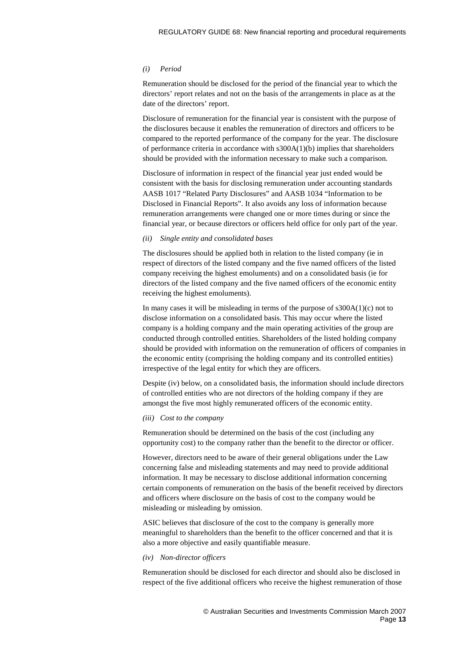#### *(i) Period*

Remuneration should be disclosed for the period of the financial year to which the directors' report relates and not on the basis of the arrangements in place as at the date of the directors' report.

Disclosure of remuneration for the financial year is consistent with the purpose of the disclosures because it enables the remuneration of directors and officers to be compared to the reported performance of the company for the year. The disclosure of performance criteria in accordance with s300A(1)(b) implies that shareholders should be provided with the information necessary to make such a comparison.

Disclosure of information in respect of the financial year just ended would be consistent with the basis for disclosing remuneration under accounting standards AASB 1017 "Related Party Disclosures" and AASB 1034 "Information to be Disclosed in Financial Reports". It also avoids any loss of information because remuneration arrangements were changed one or more times during or since the financial year, or because directors or officers held office for only part of the year.

#### *(ii) Single entity and consolidated bases*

The disclosures should be applied both in relation to the listed company (ie in respect of directors of the listed company and the five named officers of the listed company receiving the highest emoluments) and on a consolidated basis (ie for directors of the listed company and the five named officers of the economic entity receiving the highest emoluments).

In many cases it will be misleading in terms of the purpose of  $s300A(1)(c)$  not to disclose information on a consolidated basis. This may occur where the listed company is a holding company and the main operating activities of the group are conducted through controlled entities. Shareholders of the listed holding company should be provided with information on the remuneration of officers of companies in the economic entity (comprising the holding company and its controlled entities) irrespective of the legal entity for which they are officers.

Despite (iv) below, on a consolidated basis, the information should include directors of controlled entities who are not directors of the holding company if they are amongst the five most highly remunerated officers of the economic entity.

#### *(iii) Cost to the company*

Remuneration should be determined on the basis of the cost (including any opportunity cost) to the company rather than the benefit to the director or officer.

However, directors need to be aware of their general obligations under the Law concerning false and misleading statements and may need to provide additional information. It may be necessary to disclose additional information concerning certain components of remuneration on the basis of the benefit received by directors and officers where disclosure on the basis of cost to the company would be misleading or misleading by omission.

ASIC believes that disclosure of the cost to the company is generally more meaningful to shareholders than the benefit to the officer concerned and that it is also a more objective and easily quantifiable measure.

#### *(iv) Non-director officers*

Remuneration should be disclosed for each director and should also be disclosed in respect of the five additional officers who receive the highest remuneration of those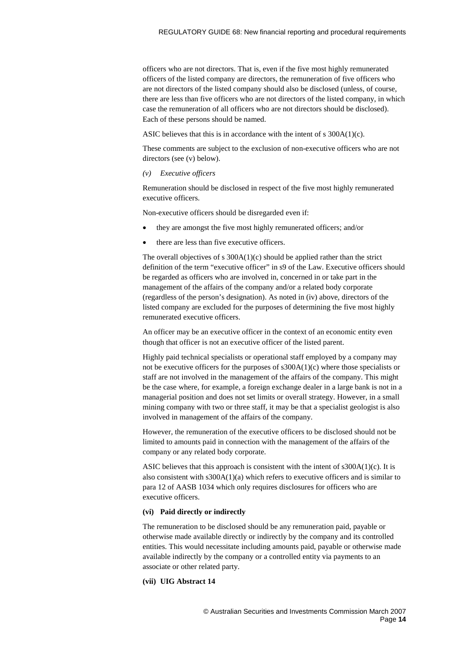officers who are not directors. That is, even if the five most highly remunerated officers of the listed company are directors, the remuneration of five officers who are not directors of the listed company should also be disclosed (unless, of course, there are less than five officers who are not directors of the listed company, in which case the remuneration of all officers who are not directors should be disclosed). Each of these persons should be named.

ASIC believes that this is in accordance with the intent of s 300A(1)(c).

These comments are subject to the exclusion of non-executive officers who are not directors (see (v) below).

#### *(v) Executive officers*

Remuneration should be disclosed in respect of the five most highly remunerated executive officers.

Non-executive officers should be disregarded even if:

- they are amongst the five most highly remunerated officers; and/or
- there are less than five executive officers.

The overall objectives of s  $300A(1)(c)$  should be applied rather than the strict definition of the term "executive officer" in s9 of the Law. Executive officers should be regarded as officers who are involved in, concerned in or take part in the management of the affairs of the company and/or a related body corporate (regardless of the person's designation). As noted in (iv) above, directors of the listed company are excluded for the purposes of determining the five most highly remunerated executive officers.

An officer may be an executive officer in the context of an economic entity even though that officer is not an executive officer of the listed parent.

Highly paid technical specialists or operational staff employed by a company may not be executive officers for the purposes of  $\text{S300A}(1)(c)$  where those specialists or staff are not involved in the management of the affairs of the company. This might be the case where, for example, a foreign exchange dealer in a large bank is not in a managerial position and does not set limits or overall strategy. However, in a small mining company with two or three staff, it may be that a specialist geologist is also involved in management of the affairs of the company.

However, the remuneration of the executive officers to be disclosed should not be limited to amounts paid in connection with the management of the affairs of the company or any related body corporate.

ASIC believes that this approach is consistent with the intent of s300A(1)(c). It is also consistent with s300A(1)(a) which refers to executive officers and is similar to para 12 of AASB 1034 which only requires disclosures for officers who are executive officers.

#### **(vi) Paid directly or indirectly**

The remuneration to be disclosed should be any remuneration paid, payable or otherwise made available directly or indirectly by the company and its controlled entities. This would necessitate including amounts paid, payable or otherwise made available indirectly by the company or a controlled entity via payments to an associate or other related party.

#### **(vii) UIG Abstract 14**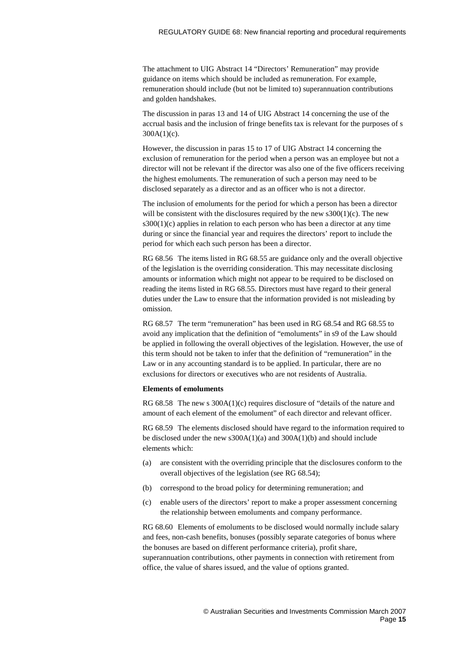The attachment to UIG Abstract 14 "Directors' Remuneration" may provide guidance on items which should be included as remuneration. For example, remuneration should include (but not be limited to) superannuation contributions and golden handshakes.

The discussion in paras 13 and 14 of UIG Abstract 14 concerning the use of the accrual basis and the inclusion of fringe benefits tax is relevant for the purposes of s  $300A(1)(c)$ .

However, the discussion in paras 15 to 17 of UIG Abstract 14 concerning the exclusion of remuneration for the period when a person was an employee but not a director will not be relevant if the director was also one of the five officers receiving the highest emoluments. The remuneration of such a person may need to be disclosed separately as a director and as an officer who is not a director.

The inclusion of emoluments for the period for which a person has been a director will be consistent with the disclosures required by the new  $s300(1)(c)$ . The new  $s300(1)(c)$  applies in relation to each person who has been a director at any time during or since the financial year and requires the directors' report to include the period for which each such person has been a director.

RG 68.56 The items listed in RG 68.55 are guidance only and the overall objective of the legislation is the overriding consideration. This may necessitate disclosing amounts or information which might not appear to be required to be disclosed on reading the items listed in RG 68.55. Directors must have regard to their general duties under the Law to ensure that the information provided is not misleading by omission.

RG 68.57 The term "remuneration" has been used in RG 68.54 and RG 68.55 to avoid any implication that the definition of "emoluments" in s9 of the Law should be applied in following the overall objectives of the legislation. However, the use of this term should not be taken to infer that the definition of "remuneration" in the Law or in any accounting standard is to be applied. In particular, there are no exclusions for directors or executives who are not residents of Australia.

#### **Elements of emoluments**

RG 68.58 The new s  $300A(1)(c)$  requires disclosure of "details of the nature and amount of each element of the emolument" of each director and relevant officer.

RG 68.59 The elements disclosed should have regard to the information required to be disclosed under the new s300A(1)(a) and 300A(1)(b) and should include elements which:

- (a) are consistent with the overriding principle that the disclosures conform to the overall objectives of the legislation (see RG 68.54);
- (b) correspond to the broad policy for determining remuneration; and
- (c) enable users of the directors' report to make a proper assessment concerning the relationship between emoluments and company performance.

RG 68.60 Elements of emoluments to be disclosed would normally include salary and fees, non-cash benefits, bonuses (possibly separate categories of bonus where the bonuses are based on different performance criteria), profit share, superannuation contributions, other payments in connection with retirement from office, the value of shares issued, and the value of options granted.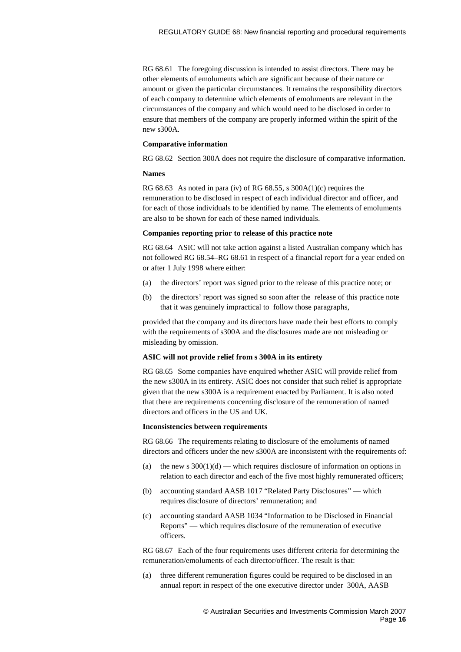RG 68.61 The foregoing discussion is intended to assist directors. There may be other elements of emoluments which are significant because of their nature or amount or given the particular circumstances. It remains the responsibility directors of each company to determine which elements of emoluments are relevant in the circumstances of the company and which would need to be disclosed in order to ensure that members of the company are properly informed within the spirit of the new s300A.

#### **Comparative information**

RG 68.62 Section 300A does not require the disclosure of comparative information.

#### **Names**

RG 68.63 As noted in para (iv) of RG 68.55, s  $300A(1)(c)$  requires the remuneration to be disclosed in respect of each individual director and officer, and for each of those individuals to be identified by name. The elements of emoluments are also to be shown for each of these named individuals.

#### **Companies reporting prior to release of this practice note**

RG 68.64 ASIC will not take action against a listed Australian company which has not followed RG 68.54–RG 68.61 in respect of a financial report for a year ended on or after 1 July 1998 where either:

- (a) the directors' report was signed prior to the release of this practice note; or
- (b) the directors' report was signed so soon after the release of this practice note that it was genuinely impractical to follow those paragraphs,

provided that the company and its directors have made their best efforts to comply with the requirements of s300A and the disclosures made are not misleading or misleading by omission.

#### **ASIC will not provide relief from s 300A in its entirety**

RG 68.65 Some companies have enquired whether ASIC will provide relief from the new s300A in its entirety. ASIC does not consider that such relief is appropriate given that the new s300A is a requirement enacted by Parliament. It is also noted that there are requirements concerning disclosure of the remuneration of named directors and officers in the US and UK.

#### **Inconsistencies between requirements**

RG 68.66 The requirements relating to disclosure of the emoluments of named directors and officers under the new s300A are inconsistent with the requirements of:

- (a) the new s  $300(1)(d)$  which requires disclosure of information on options in relation to each director and each of the five most highly remunerated officers;
- (b) accounting standard AASB 1017 "Related Party Disclosures" which requires disclosure of directors' remuneration; and
- (c) accounting standard AASB 1034 "Information to be Disclosed in Financial Reports" — which requires disclosure of the remuneration of executive officers.

RG 68.67 Each of the four requirements uses different criteria for determining the remuneration/emoluments of each director/officer. The result is that:

(a) three different remuneration figures could be required to be disclosed in an annual report in respect of the one executive director under 300A, AASB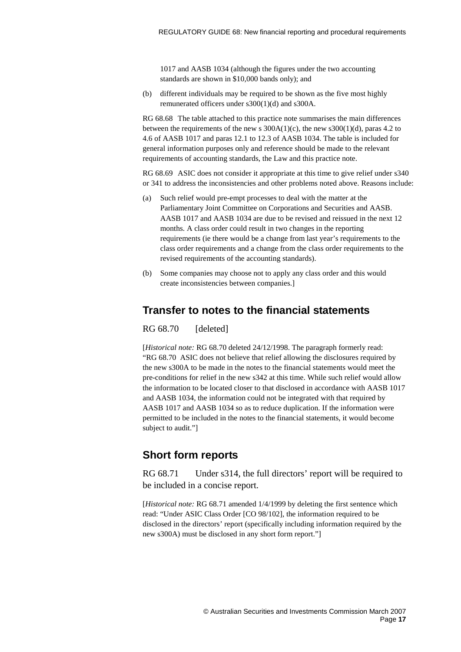1017 and AASB 1034 (although the figures under the two accounting standards are shown in \$10,000 bands only); and

(b) different individuals may be required to be shown as the five most highly remunerated officers under s300(1)(d) and s300A.

RG 68.68 The table attached to this practice note summarises the main differences between the requirements of the new s  $300A(1)(c)$ , the new s $300(1)(d)$ , paras 4.2 to 4.6 of AASB 1017 and paras 12.1 to 12.3 of AASB 1034. The table is included for general information purposes only and reference should be made to the relevant requirements of accounting standards, the Law and this practice note.

RG 68.69 ASIC does not consider it appropriate at this time to give relief under s340 or 341 to address the inconsistencies and other problems noted above. Reasons include:

- (a) Such relief would pre-empt processes to deal with the matter at the Parliamentary Joint Committee on Corporations and Securities and AASB. AASB 1017 and AASB 1034 are due to be revised and reissued in the next 12 months. A class order could result in two changes in the reporting requirements (ie there would be a change from last year's requirements to the class order requirements and a change from the class order requirements to the revised requirements of the accounting standards).
- (b) Some companies may choose not to apply any class order and this would create inconsistencies between companies.]

### **Transfer to notes to the financial statements**

RG 68.70 [deleted]

[*Historical note:* RG 68.70 deleted 24/12/1998. The paragraph formerly read: "RG 68.70 ASIC does not believe that relief allowing the disclosures required by the new s300A to be made in the notes to the financial statements would meet the pre-conditions for relief in the new s342 at this time. While such relief would allow the information to be located closer to that disclosed in accordance with AASB 1017 and AASB 1034, the information could not be integrated with that required by AASB 1017 and AASB 1034 so as to reduce duplication. If the information were permitted to be included in the notes to the financial statements, it would become subject to audit."]

### **Short form reports**

RG 68.71 Under s314, the full directors' report will be required to be included in a concise report.

[*Historical note:* RG 68.71 amended 1/4/1999 by deleting the first sentence which read: "Under ASIC Class Order [CO 98/102], the information required to be disclosed in the directors' report (specifically including information required by the new s300A) must be disclosed in any short form report."]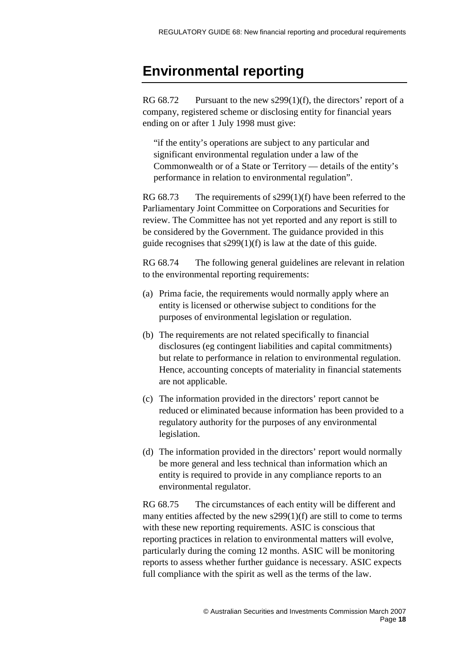## <span id="page-17-0"></span>**Environmental reporting**

RG 68.72 Pursuant to the new s299(1)(f), the directors' report of a company, registered scheme or disclosing entity for financial years ending on or after 1 July 1998 must give:

"if the entity's operations are subject to any particular and significant environmental regulation under a law of the Commonwealth or of a State or Territory — details of the entity's performance in relation to environmental regulation".

RG 68.73 The requirements of s299(1)(f) have been referred to the Parliamentary Joint Committee on Corporations and Securities for review. The Committee has not yet reported and any report is still to be considered by the Government. The guidance provided in this guide recognises that s299(1)(f) is law at the date of this guide.

RG 68.74 The following general guidelines are relevant in relation to the environmental reporting requirements:

- (a) Prima facie, the requirements would normally apply where an entity is licensed or otherwise subject to conditions for the purposes of environmental legislation or regulation.
- (b) The requirements are not related specifically to financial disclosures (eg contingent liabilities and capital commitments) but relate to performance in relation to environmental regulation. Hence, accounting concepts of materiality in financial statements are not applicable.
- (c) The information provided in the directors' report cannot be reduced or eliminated because information has been provided to a regulatory authority for the purposes of any environmental legislation.
- (d) The information provided in the directors' report would normally be more general and less technical than information which an entity is required to provide in any compliance reports to an environmental regulator.

RG 68.75 The circumstances of each entity will be different and many entities affected by the new  $s299(1)(f)$  are still to come to terms with these new reporting requirements. ASIC is conscious that reporting practices in relation to environmental matters will evolve, particularly during the coming 12 months. ASIC will be monitoring reports to assess whether further guidance is necessary. ASIC expects full compliance with the spirit as well as the terms of the law.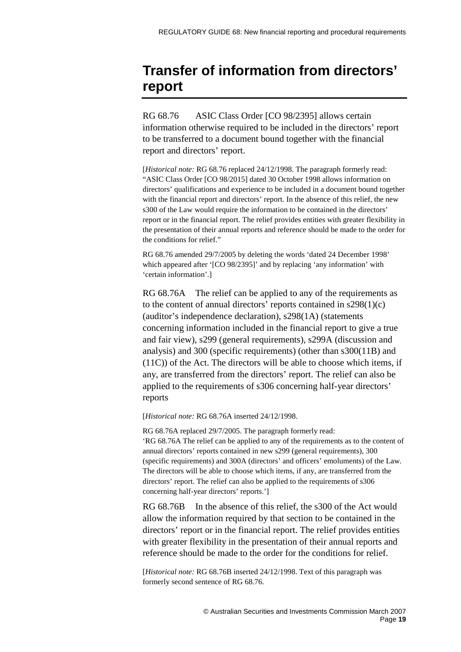## <span id="page-18-0"></span>**Transfer of information from directors' report**

RG 68.76 ASIC Class Order [CO 98/2395] allows certain information otherwise required to be included in the directors' report to be transferred to a document bound together with the financial report and directors' report.

[*Historical note:* RG 68.76 replaced 24/12/1998. The paragraph formerly read: "ASIC Class Order [CO 98/2015] dated 30 October 1998 allows information on directors' qualifications and experience to be included in a document bound together with the financial report and directors' report. In the absence of this relief, the new s300 of the Law would require the information to be contained in the directors' report or in the financial report. The relief provides entities with greater flexibility in the presentation of their annual reports and reference should be made to the order for the conditions for relief."

RG 68.76 amended 29/7/2005 by deleting the words 'dated 24 December 1998' which appeared after '[CO 98/2395]' and by replacing 'any information' with 'certain information'.]

RG 68.76A The relief can be applied to any of the requirements as to the content of annual directors' reports contained in  $s298(1)(c)$ (auditor's independence declaration), s298(1A) (statements concerning information included in the financial report to give a true and fair view), s299 (general requirements), s299A (discussion and analysis) and 300 (specific requirements) (other than s300(11B) and (11C)) of the Act. The directors will be able to choose which items, if any, are transferred from the directors' report. The relief can also be applied to the requirements of s306 concerning half-year directors' reports

[*Historical note:* RG 68.76A inserted 24/12/1998.

RG 68.76A replaced 29/7/2005. The paragraph formerly read: 'RG 68.76A The relief can be applied to any of the requirements as to the content of annual directors' reports contained in new s299 (general requirements), 300 (specific requirements) and 300A (directors' and officers' emoluments) of the Law. The directors will be able to choose which items, if any, are transferred from the directors' report. The relief can also be applied to the requirements of s306 concerning half-year directors' reports.']

RG 68.76B In the absence of this relief, the s300 of the Act would allow the information required by that section to be contained in the directors' report or in the financial report. The relief provides entities with greater flexibility in the presentation of their annual reports and reference should be made to the order for the conditions for relief.

[*Historical note:* RG 68.76B inserted 24/12/1998. Text of this paragraph was formerly second sentence of RG 68.76.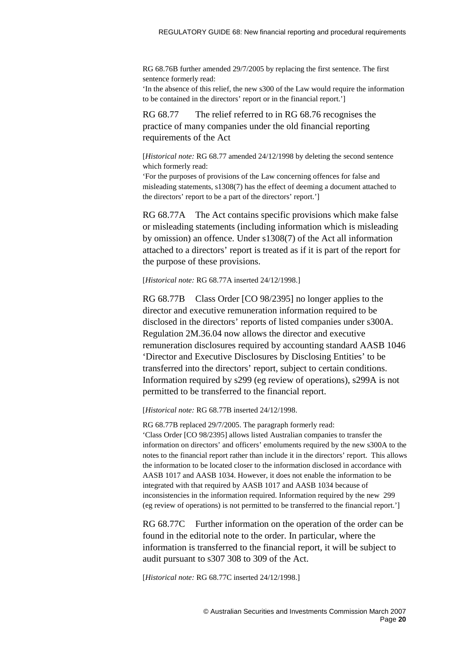RG 68.76B further amended 29/7/2005 by replacing the first sentence. The first sentence formerly read:

'In the absence of this relief, the new s300 of the Law would require the information to be contained in the directors' report or in the financial report.']

RG 68.77 The relief referred to in RG 68.76 recognises the practice of many companies under the old financial reporting requirements of the Act

[*Historical note:* RG 68.77 amended 24/12/1998 by deleting the second sentence which formerly read:

'For the purposes of provisions of the Law concerning offences for false and misleading statements, s1308(7) has the effect of deeming a document attached to the directors' report to be a part of the directors' report.']

RG 68.77A The Act contains specific provisions which make false or misleading statements (including information which is misleading by omission) an offence. Under s1308(7) of the Act all information attached to a directors' report is treated as if it is part of the report for the purpose of these provisions.

#### [*Historical note:* RG 68.77A inserted 24/12/1998.]

RG 68.77B Class Order [CO 98/2395] no longer applies to the director and executive remuneration information required to be disclosed in the directors' reports of listed companies under s300A. Regulation 2M.36.04 now allows the director and executive remuneration disclosures required by accounting standard AASB 1046 'Director and Executive Disclosures by Disclosing Entities' to be transferred into the directors' report, subject to certain conditions. Information required by s299 (eg review of operations), s299A is not permitted to be transferred to the financial report.

[*Historical note:* RG 68.77B inserted 24/12/1998.

RG 68.77B replaced 29/7/2005. The paragraph formerly read: 'Class Order [CO 98/2395] allows listed Australian companies to transfer the information on directors' and officers' emoluments required by the new s300A to the notes to the financial report rather than include it in the directors' report. This allows the information to be located closer to the information disclosed in accordance with AASB 1017 and AASB 1034. However, it does not enable the information to be integrated with that required by AASB 1017 and AASB 1034 because of inconsistencies in the information required. Information required by the new 299 (eg review of operations) is not permitted to be transferred to the financial report.']

RG 68.77C Further information on the operation of the order can be found in the editorial note to the order. In particular, where the information is transferred to the financial report, it will be subject to audit pursuant to s307 308 to 309 of the Act.

[*Historical note:* RG 68.77C inserted 24/12/1998.]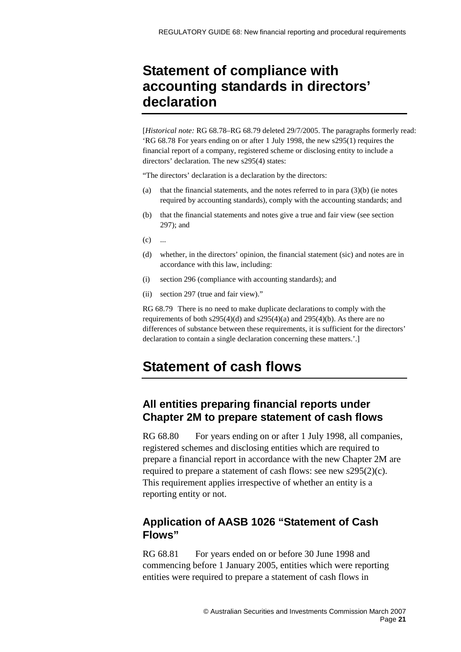## <span id="page-20-0"></span>**Statement of compliance with accounting standards in directors' declaration**

[*Historical note:* RG 68.78–RG 68.79 deleted 29/7/2005. The paragraphs formerly read: 'RG 68.78 For years ending on or after 1 July 1998, the new s295(1) requires the financial report of a company, registered scheme or disclosing entity to include a directors' declaration. The new s295(4) states:

"The directors' declaration is a declaration by the directors:

- (a) that the financial statements, and the notes referred to in para (3)(b) (ie notes required by accounting standards), comply with the accounting standards; and
- (b) that the financial statements and notes give a true and fair view (see section 297); and

 $(c)$  ...

- (d) whether, in the directors' opinion, the financial statement (sic) and notes are in accordance with this law, including:
- (i) section 296 (compliance with accounting standards); and
- (ii) section 297 (true and fair view)."

RG 68.79 There is no need to make duplicate declarations to comply with the requirements of both  $s295(4)(d)$  and  $s295(4)(a)$  and  $295(4)(b)$ . As there are no differences of substance between these requirements, it is sufficient for the directors' declaration to contain a single declaration concerning these matters.'.]

## <span id="page-20-1"></span>**Statement of cash flows**

### **All entities preparing financial reports under Chapter 2M to prepare statement of cash flows**

RG 68.80 For years ending on or after 1 July 1998, all companies, registered schemes and disclosing entities which are required to prepare a financial report in accordance with the new Chapter 2M are required to prepare a statement of cash flows: see new s295(2)(c). This requirement applies irrespective of whether an entity is a reporting entity or not.

## **Application of AASB 1026 "Statement of Cash Flows"**

RG 68.81 For years ended on or before 30 June 1998 and commencing before 1 January 2005, entities which were reporting entities were required to prepare a statement of cash flows in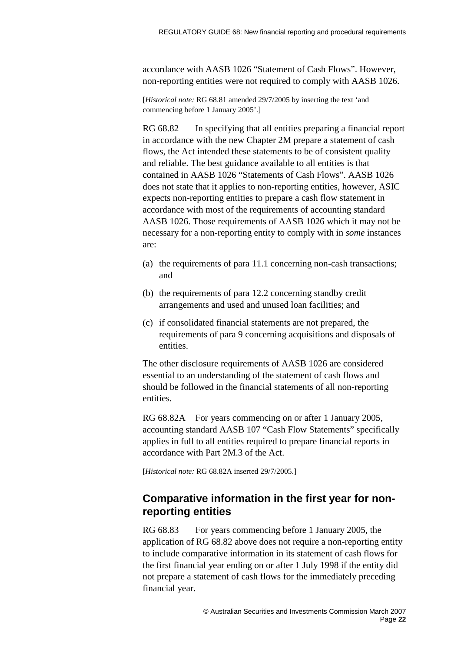accordance with AASB 1026 "Statement of Cash Flows". However, non-reporting entities were not required to comply with AASB 1026.

[*Historical note:* RG 68.81 amended 29/7/2005 by inserting the text 'and commencing before 1 January 2005'.]

RG 68.82 In specifying that all entities preparing a financial report in accordance with the new Chapter 2M prepare a statement of cash flows, the Act intended these statements to be of consistent quality and reliable. The best guidance available to all entities is that contained in AASB 1026 "Statements of Cash Flows". AASB 1026 does not state that it applies to non-reporting entities, however, ASIC expects non-reporting entities to prepare a cash flow statement in accordance with most of the requirements of accounting standard AASB 1026. Those requirements of AASB 1026 which it may not be necessary for a non-reporting entity to comply with in *some* instances are:

- (a) the requirements of para 11.1 concerning non-cash transactions; and
- (b) the requirements of para 12.2 concerning standby credit arrangements and used and unused loan facilities; and
- (c) if consolidated financial statements are not prepared, the requirements of para 9 concerning acquisitions and disposals of entities.

The other disclosure requirements of AASB 1026 are considered essential to an understanding of the statement of cash flows and should be followed in the financial statements of all non-reporting entities.

RG 68.82A For years commencing on or after 1 January 2005, accounting standard AASB 107 "Cash Flow Statements" specifically applies in full to all entities required to prepare financial reports in accordance with Part 2M.3 of the Act.

[*Historical note:* RG 68.82A inserted 29/7/2005.]

### **Comparative information in the first year for nonreporting entities**

RG 68.83 For years commencing before 1 January 2005, the application of RG 68.82 above does not require a non-reporting entity to include comparative information in its statement of cash flows for the first financial year ending on or after 1 July 1998 if the entity did not prepare a statement of cash flows for the immediately preceding financial year.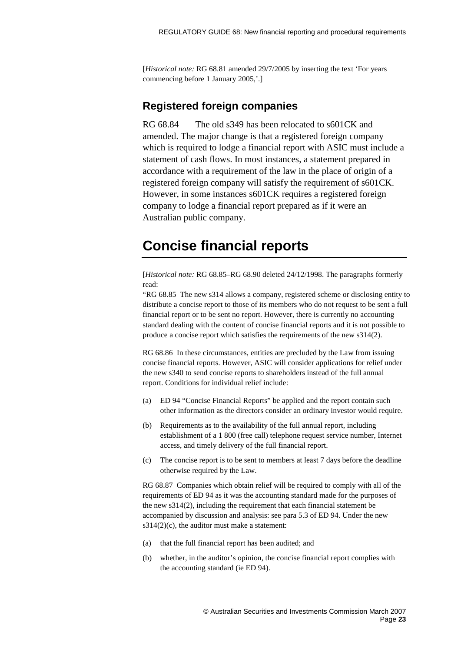[*Historical note:* RG 68.81 amended 29/7/2005 by inserting the text 'For years commencing before 1 January 2005,'.]

### **Registered foreign companies**

RG 68.84 The old s349 has been relocated to s601CK and amended. The major change is that a registered foreign company which is required to lodge a financial report with ASIC must include a statement of cash flows. In most instances, a statement prepared in accordance with a requirement of the law in the place of origin of a registered foreign company will satisfy the requirement of s601CK. However, in some instances s601CK requires a registered foreign company to lodge a financial report prepared as if it were an Australian public company.

## <span id="page-22-0"></span>**Concise financial reports**

[*Historical note:* RG 68.85–RG 68.90 deleted 24/12/1998. The paragraphs formerly read:

"RG 68.85 The new s314 allows a company, registered scheme or disclosing entity to distribute a concise report to those of its members who do not request to be sent a full financial report or to be sent no report. However, there is currently no accounting standard dealing with the content of concise financial reports and it is not possible to produce a concise report which satisfies the requirements of the new s314(2).

RG 68.86 In these circumstances, entities are precluded by the Law from issuing concise financial reports. However, ASIC will consider applications for relief under the new s340 to send concise reports to shareholders instead of the full annual report. Conditions for individual relief include:

- (a) ED 94 "Concise Financial Reports" be applied and the report contain such other information as the directors consider an ordinary investor would require.
- (b) Requirements as to the availability of the full annual report, including establishment of a 1 800 (free call) telephone request service number, Internet access, and timely delivery of the full financial report.
- (c) The concise report is to be sent to members at least 7 days before the deadline otherwise required by the Law.

RG 68.87 Companies which obtain relief will be required to comply with all of the requirements of ED 94 as it was the accounting standard made for the purposes of the new s314(2), including the requirement that each financial statement be accompanied by discussion and analysis: see para 5.3 of ED 94. Under the new  $s314(2)(c)$ , the auditor must make a statement:

- (a) that the full financial report has been audited; and
- (b) whether, in the auditor's opinion, the concise financial report complies with the accounting standard (ie ED 94).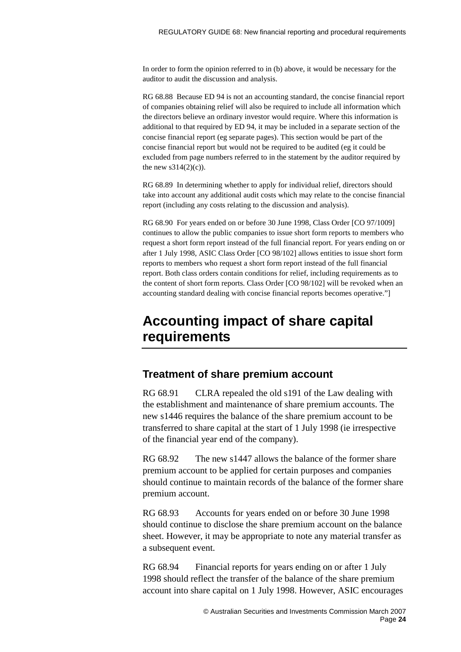In order to form the opinion referred to in (b) above, it would be necessary for the auditor to audit the discussion and analysis.

RG 68.88 Because ED 94 is not an accounting standard, the concise financial report of companies obtaining relief will also be required to include all information which the directors believe an ordinary investor would require. Where this information is additional to that required by ED 94, it may be included in a separate section of the concise financial report (eg separate pages). This section would be part of the concise financial report but would not be required to be audited (eg it could be excluded from page numbers referred to in the statement by the auditor required by the new  $s314(2)(c)$ ).

RG 68.89 In determining whether to apply for individual relief, directors should take into account any additional audit costs which may relate to the concise financial report (including any costs relating to the discussion and analysis).

RG 68.90 For years ended on or before 30 June 1998, Class Order [CO 97/1009] continues to allow the public companies to issue short form reports to members who request a short form report instead of the full financial report. For years ending on or after 1 July 1998, ASIC Class Order [CO 98/102] allows entities to issue short form reports to members who request a short form report instead of the full financial report. Both class orders contain conditions for relief, including requirements as to the content of short form reports. Class Order [CO 98/102] will be revoked when an accounting standard dealing with concise financial reports becomes operative."]

## <span id="page-23-0"></span>**Accounting impact of share capital requirements**

### **Treatment of share premium account**

RG 68.91 CLRA repealed the old s191 of the Law dealing with the establishment and maintenance of share premium accounts. The new s1446 requires the balance of the share premium account to be transferred to share capital at the start of 1 July 1998 (ie irrespective of the financial year end of the company).

RG 68.92 The new s1447 allows the balance of the former share premium account to be applied for certain purposes and companies should continue to maintain records of the balance of the former share premium account.

RG 68.93 Accounts for years ended on or before 30 June 1998 should continue to disclose the share premium account on the balance sheet. However, it may be appropriate to note any material transfer as a subsequent event.

RG 68.94 Financial reports for years ending on or after 1 July 1998 should reflect the transfer of the balance of the share premium account into share capital on 1 July 1998. However, ASIC encourages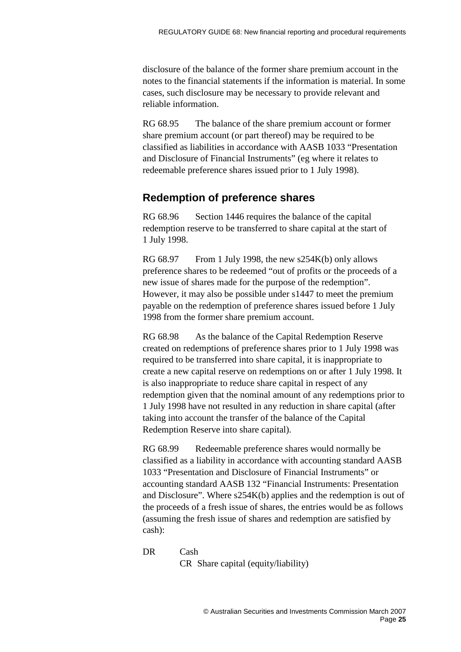disclosure of the balance of the former share premium account in the notes to the financial statements if the information is material. In some cases, such disclosure may be necessary to provide relevant and reliable information.

RG 68.95 The balance of the share premium account or former share premium account (or part thereof) may be required to be classified as liabilities in accordance with AASB 1033 "Presentation and Disclosure of Financial Instruments" (eg where it relates to redeemable preference shares issued prior to 1 July 1998).

### **Redemption of preference shares**

RG 68.96 Section 1446 requires the balance of the capital redemption reserve to be transferred to share capital at the start of 1 July 1998.

RG 68.97 From 1 July 1998, the new s254K(b) only allows preference shares to be redeemed "out of profits or the proceeds of a new issue of shares made for the purpose of the redemption". However, it may also be possible under s1447 to meet the premium payable on the redemption of preference shares issued before 1 July 1998 from the former share premium account.

RG 68.98 As the balance of the Capital Redemption Reserve created on redemptions of preference shares prior to 1 July 1998 was required to be transferred into share capital, it is inappropriate to create a new capital reserve on redemptions on or after 1 July 1998. It is also inappropriate to reduce share capital in respect of any redemption given that the nominal amount of any redemptions prior to 1 July 1998 have not resulted in any reduction in share capital (after taking into account the transfer of the balance of the Capital Redemption Reserve into share capital).

RG 68.99 Redeemable preference shares would normally be classified as a liability in accordance with accounting standard AASB 1033 "Presentation and Disclosure of Financial Instruments" or accounting standard AASB 132 "Financial Instruments: Presentation and Disclosure". Where s254K(b) applies and the redemption is out of the proceeds of a fresh issue of shares, the entries would be as follows (assuming the fresh issue of shares and redemption are satisfied by cash):

DR Cash

CR Share capital (equity/liability)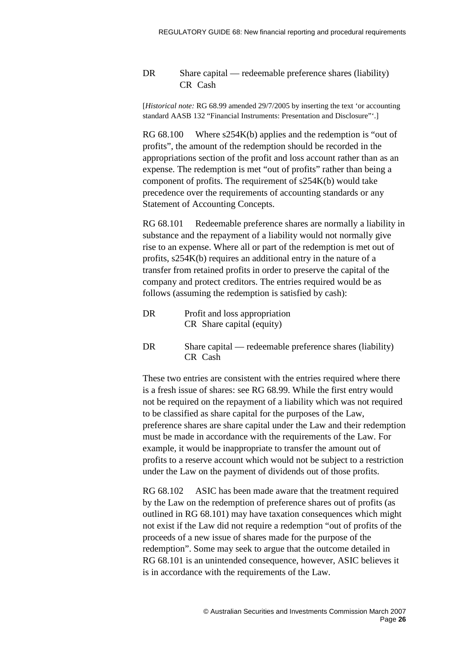#### DR Share capital — redeemable preference shares (liability) CR Cash

[*Historical note:* RG 68.99 amended 29/7/2005 by inserting the text 'or accounting standard AASB 132 "Financial Instruments: Presentation and Disclosure"'.]

 $RG 68.100$  Where  $s254K(b)$  applies and the redemption is "out of profits", the amount of the redemption should be recorded in the appropriations section of the profit and loss account rather than as an expense. The redemption is met "out of profits" rather than being a component of profits. The requirement of s254K(b) would take precedence over the requirements of accounting standards or any Statement of Accounting Concepts.

RG 68.101 Redeemable preference shares are normally a liability in substance and the repayment of a liability would not normally give rise to an expense. Where all or part of the redemption is met out of profits, s254K(b) requires an additional entry in the nature of a transfer from retained profits in order to preserve the capital of the company and protect creditors. The entries required would be as follows (assuming the redemption is satisfied by cash):

| DR | Profit and loss appropriation |
|----|-------------------------------|
|    | CR Share capital (equity)     |

DR Share capital — redeemable preference shares (liability) CR Cash

These two entries are consistent with the entries required where there is a fresh issue of shares: see RG 68.99. While the first entry would not be required on the repayment of a liability which was not required to be classified as share capital for the purposes of the Law, preference shares are share capital under the Law and their redemption must be made in accordance with the requirements of the Law. For example, it would be inappropriate to transfer the amount out of profits to a reserve account which would not be subject to a restriction under the Law on the payment of dividends out of those profits.

RG 68.102 ASIC has been made aware that the treatment required by the Law on the redemption of preference shares out of profits (as outlined in RG 68.101) may have taxation consequences which might not exist if the Law did not require a redemption "out of profits of the proceeds of a new issue of shares made for the purpose of the redemption". Some may seek to argue that the outcome detailed in RG 68.101 is an unintended consequence, however, ASIC believes it is in accordance with the requirements of the Law.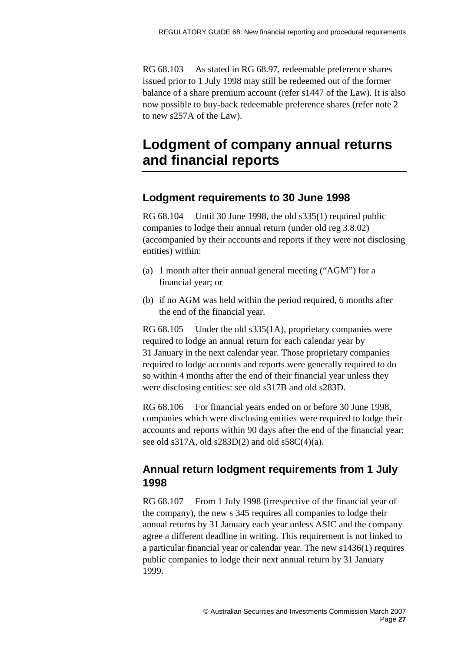RG 68.103 As stated in RG 68.97, redeemable preference shares issued prior to 1 July 1998 may still be redeemed out of the former balance of a share premium account (refer s1447 of the Law). It is also now possible to buy-back redeemable preference shares (refer note 2 to new s257A of the Law).

## <span id="page-26-0"></span>**Lodgment of company annual returns and financial reports**

### **Lodgment requirements to 30 June 1998**

RG 68.104 Until 30 June 1998, the old s335(1) required public companies to lodge their annual return (under old reg 3.8.02) (accompanied by their accounts and reports if they were not disclosing entities) within:

- (a) 1 month after their annual general meeting ("AGM") for a financial year; or
- (b) if no AGM was held within the period required, 6 months after the end of the financial year.

RG 68.105 Under the old s335(1A), proprietary companies were required to lodge an annual return for each calendar year by 31 January in the next calendar year. Those proprietary companies required to lodge accounts and reports were generally required to do so within 4 months after the end of their financial year unless they were disclosing entities: see old s317B and old s283D.

RG 68.106 For financial years ended on or before 30 June 1998, companies which were disclosing entities were required to lodge their accounts and reports within 90 days after the end of the financial year: see old s317A, old s283D(2) and old s58C(4)(a).

## **Annual return lodgment requirements from 1 July 1998**

RG 68.107 From 1 July 1998 (irrespective of the financial year of the company), the new s 345 requires all companies to lodge their annual returns by 31 January each year unless ASIC and the company agree a different deadline in writing. This requirement is not linked to a particular financial year or calendar year. The new s1436(1) requires public companies to lodge their next annual return by 31 January 1999.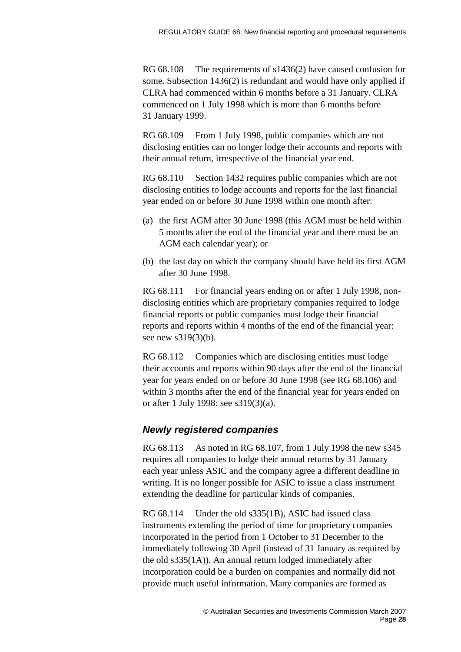RG 68.108 The requirements of s1436(2) have caused confusion for some. Subsection 1436(2) is redundant and would have only applied if CLRA had commenced within 6 months before a 31 January. CLRA commenced on 1 July 1998 which is more than 6 months before 31 January 1999.

RG 68.109 From 1 July 1998, public companies which are not disclosing entities can no longer lodge their accounts and reports with their annual return, irrespective of the financial year end.

RG 68.110 Section 1432 requires public companies which are not disclosing entities to lodge accounts and reports for the last financial year ended on or before 30 June 1998 within one month after:

- (a) the first AGM after 30 June 1998 (this AGM must be held within 5 months after the end of the financial year and there must be an AGM each calendar year); or
- (b) the last day on which the company should have held its first AGM after 30 June 1998.

RG 68.111 For financial years ending on or after 1 July 1998, nondisclosing entities which are proprietary companies required to lodge financial reports or public companies must lodge their financial reports and reports within 4 months of the end of the financial year: see new s319(3)(b).

RG 68.112 Companies which are disclosing entities must lodge their accounts and reports within 90 days after the end of the financial year for years ended on or before 30 June 1998 (see RG 68.106) and within 3 months after the end of the financial year for years ended on or after 1 July 1998: see s319(3)(a).

### *Newly registered companies*

RG 68.113 As noted in RG 68.107, from 1 July 1998 the new s345 requires all companies to lodge their annual returns by 31 January each year unless ASIC and the company agree a different deadline in writing. It is no longer possible for ASIC to issue a class instrument extending the deadline for particular kinds of companies.

RG 68.114 Under the old s335(1B), ASIC had issued class instruments extending the period of time for proprietary companies incorporated in the period from 1 October to 31 December to the immediately following 30 April (instead of 31 January as required by the old s335(1A)). An annual return lodged immediately after incorporation could be a burden on companies and normally did not provide much useful information. Many companies are formed as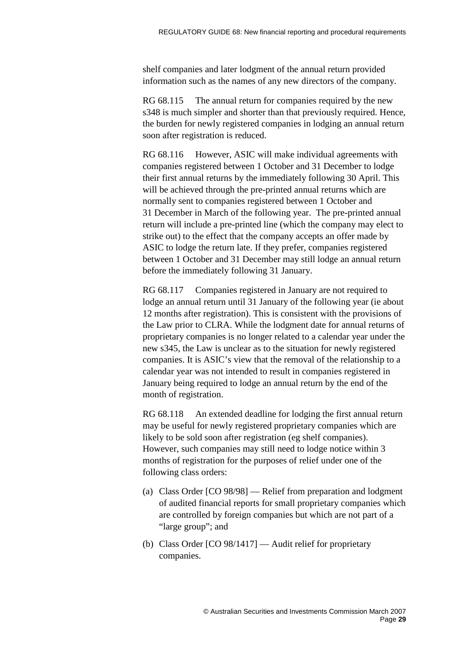shelf companies and later lodgment of the annual return provided information such as the names of any new directors of the company.

RG 68.115 The annual return for companies required by the new s348 is much simpler and shorter than that previously required. Hence, the burden for newly registered companies in lodging an annual return soon after registration is reduced.

RG 68.116 However, ASIC will make individual agreements with companies registered between 1 October and 31 December to lodge their first annual returns by the immediately following 30 April. This will be achieved through the pre-printed annual returns which are normally sent to companies registered between 1 October and 31 December in March of the following year. The pre-printed annual return will include a pre-printed line (which the company may elect to strike out) to the effect that the company accepts an offer made by ASIC to lodge the return late. If they prefer, companies registered between 1 October and 31 December may still lodge an annual return before the immediately following 31 January.

RG 68.117 Companies registered in January are not required to lodge an annual return until 31 January of the following year (ie about 12 months after registration). This is consistent with the provisions of the Law prior to CLRA. While the lodgment date for annual returns of proprietary companies is no longer related to a calendar year under the new s345, the Law is unclear as to the situation for newly registered companies. It is ASIC's view that the removal of the relationship to a calendar year was not intended to result in companies registered in January being required to lodge an annual return by the end of the month of registration.

RG 68.118 An extended deadline for lodging the first annual return may be useful for newly registered proprietary companies which are likely to be sold soon after registration (eg shelf companies). However, such companies may still need to lodge notice within 3 months of registration for the purposes of relief under one of the following class orders:

- (a) Class Order [CO 98/98] Relief from preparation and lodgment of audited financial reports for small proprietary companies which are controlled by foreign companies but which are not part of a "large group"; and
- (b) Class Order [CO 98/1417] Audit relief for proprietary companies.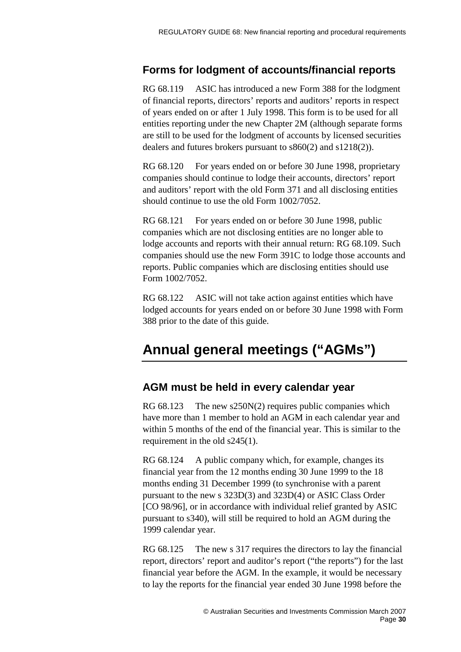## **Forms for lodgment of accounts/financial reports**

RG 68.119 ASIC has introduced a new Form 388 for the lodgment of financial reports, directors' reports and auditors' reports in respect of years ended on or after 1 July 1998. This form is to be used for all entities reporting under the new Chapter 2M (although separate forms are still to be used for the lodgment of accounts by licensed securities dealers and futures brokers pursuant to s860(2) and s1218(2)).

RG 68.120 For years ended on or before 30 June 1998, proprietary companies should continue to lodge their accounts, directors' report and auditors' report with the old Form 371 and all disclosing entities should continue to use the old Form 1002/7052.

RG 68.121 For years ended on or before 30 June 1998, public companies which are not disclosing entities are no longer able to lodge accounts and reports with their annual return: RG 68.109. Such companies should use the new Form 391C to lodge those accounts and reports. Public companies which are disclosing entities should use Form 1002/7052.

RG 68.122 ASIC will not take action against entities which have lodged accounts for years ended on or before 30 June 1998 with Form 388 prior to the date of this guide.

## <span id="page-29-0"></span>**Annual general meetings ("AGMs")**

### **AGM must be held in every calendar year**

RG 68.123 The new s250N(2) requires public companies which have more than 1 member to hold an AGM in each calendar year and within 5 months of the end of the financial year. This is similar to the requirement in the old s245(1).

RG 68.124 A public company which, for example, changes its financial year from the 12 months ending 30 June 1999 to the 18 months ending 31 December 1999 (to synchronise with a parent pursuant to the new s 323D(3) and 323D(4) or ASIC Class Order [CO 98/96], or in accordance with individual relief granted by ASIC pursuant to s340), will still be required to hold an AGM during the 1999 calendar year.

RG 68.125 The new s 317 requires the directors to lay the financial report, directors' report and auditor's report ("the reports") for the last financial year before the AGM. In the example, it would be necessary to lay the reports for the financial year ended 30 June 1998 before the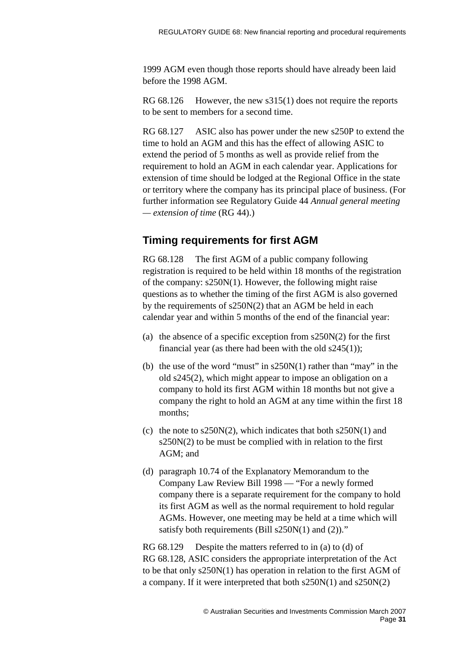1999 AGM even though those reports should have already been laid before the 1998 AGM.

RG 68.126 However, the new s315(1) does not require the reports to be sent to members for a second time.

RG 68.127 ASIC also has power under the new s250P to extend the time to hold an AGM and this has the effect of allowing ASIC to extend the period of 5 months as well as provide relief from the requirement to hold an AGM in each calendar year. Applications for extension of time should be lodged at the Regional Office in the state or territory where the company has its principal place of business. (For further information see Regulatory Guide 44 *Annual general meeting — extension of time* (RG 44).)

## **Timing requirements for first AGM**

RG 68.128 The first AGM of a public company following registration is required to be held within 18 months of the registration of the company: s250N(1). However, the following might raise questions as to whether the timing of the first AGM is also governed by the requirements of s250N(2) that an AGM be held in each calendar year and within 5 months of the end of the financial year:

- (a) the absence of a specific exception from  $s250N(2)$  for the first financial year (as there had been with the old  $s245(1)$ );
- (b) the use of the word "must" in s250N(1) rather than "may" in the old s245(2), which might appear to impose an obligation on a company to hold its first AGM within 18 months but not give a company the right to hold an AGM at any time within the first 18 months;
- (c) the note to s250N(2), which indicates that both s250N(1) and s250N(2) to be must be complied with in relation to the first AGM; and
- (d) paragraph 10.74 of the Explanatory Memorandum to the Company Law Review Bill 1998 — "For a newly formed company there is a separate requirement for the company to hold its first AGM as well as the normal requirement to hold regular AGMs. However, one meeting may be held at a time which will satisfy both requirements (Bill s250N(1) and (2))."

RG 68.129 Despite the matters referred to in (a) to (d) of RG 68.128, ASIC considers the appropriate interpretation of the Act to be that only s250N(1) has operation in relation to the first AGM of a company. If it were interpreted that both s250N(1) and s250N(2)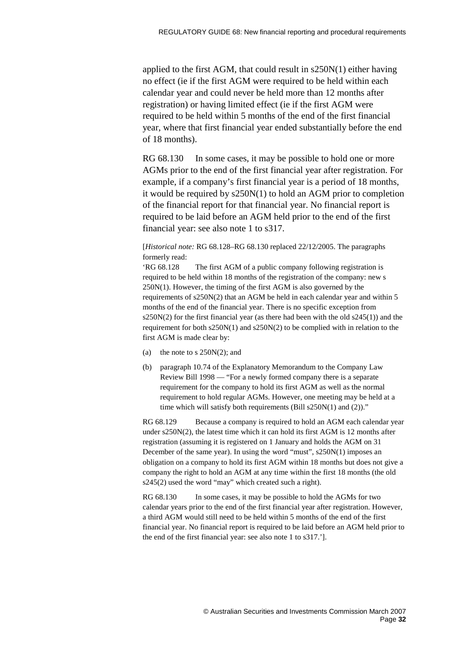applied to the first AGM, that could result in s250N(1) either having no effect (ie if the first AGM were required to be held within each calendar year and could never be held more than 12 months after registration) or having limited effect (ie if the first AGM were required to be held within 5 months of the end of the first financial year, where that first financial year ended substantially before the end of 18 months).

RG 68.130 In some cases, it may be possible to hold one or more AGMs prior to the end of the first financial year after registration. For example, if a company's first financial year is a period of 18 months, it would be required by s250N(1) to hold an AGM prior to completion of the financial report for that financial year. No financial report is required to be laid before an AGM held prior to the end of the first financial year: see also note 1 to s317.

[*Historical note:* RG 68.128–RG 68.130 replaced 22/12/2005. The paragraphs formerly read:

'RG 68.128 The first AGM of a public company following registration is required to be held within 18 months of the registration of the company: new s 250N(1). However, the timing of the first AGM is also governed by the requirements of s250N(2) that an AGM be held in each calendar year and within 5 months of the end of the financial year. There is no specific exception from  $s250N(2)$  for the first financial year (as there had been with the old  $s245(1)$ ) and the requirement for both s250N(1) and s250N(2) to be complied with in relation to the first AGM is made clear by:

- (a) the note to s  $250N(2)$ ; and
- (b) paragraph 10.74 of the Explanatory Memorandum to the Company Law Review Bill 1998 — "For a newly formed company there is a separate requirement for the company to hold its first AGM as well as the normal requirement to hold regular AGMs. However, one meeting may be held at a time which will satisfy both requirements (Bill s250N(1) and (2))."

RG 68.129 Because a company is required to hold an AGM each calendar year under s250N(2), the latest time which it can hold its first AGM is 12 months after registration (assuming it is registered on 1 January and holds the AGM on 31 December of the same year). In using the word "must", s250N(1) imposes an obligation on a company to hold its first AGM within 18 months but does not give a company the right to hold an AGM at any time within the first 18 months (the old s245(2) used the word "may" which created such a right).

RG 68.130 In some cases, it may be possible to hold the AGMs for two calendar years prior to the end of the first financial year after registration. However, a third AGM would still need to be held within 5 months of the end of the first financial year. No financial report is required to be laid before an AGM held prior to the end of the first financial year: see also note 1 to s317.'].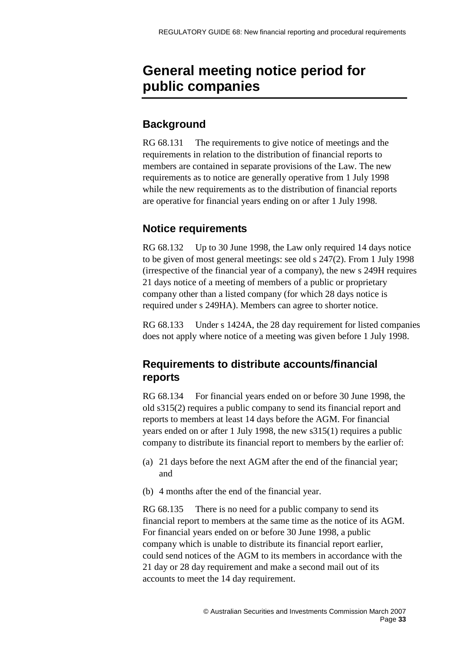## <span id="page-32-0"></span>**General meeting notice period for public companies**

### **Background**

RG 68.131 The requirements to give notice of meetings and the requirements in relation to the distribution of financial reports to members are contained in separate provisions of the Law. The new requirements as to notice are generally operative from 1 July 1998 while the new requirements as to the distribution of financial reports are operative for financial years ending on or after 1 July 1998.

### **Notice requirements**

RG 68.132 Up to 30 June 1998, the Law only required 14 days notice to be given of most general meetings: see old s 247(2). From 1 July 1998 (irrespective of the financial year of a company), the new s 249H requires 21 days notice of a meeting of members of a public or proprietary company other than a listed company (for which 28 days notice is required under s 249HA). Members can agree to shorter notice.

RG 68.133 Under s 1424A, the 28 day requirement for listed companies does not apply where notice of a meeting was given before 1 July 1998.

### **Requirements to distribute accounts/financial reports**

RG 68.134 For financial years ended on or before 30 June 1998, the old s315(2) requires a public company to send its financial report and reports to members at least 14 days before the AGM. For financial years ended on or after 1 July 1998, the new s315(1) requires a public company to distribute its financial report to members by the earlier of:

- (a) 21 days before the next AGM after the end of the financial year; and
- (b) 4 months after the end of the financial year.

RG 68.135 There is no need for a public company to send its financial report to members at the same time as the notice of its AGM. For financial years ended on or before 30 June 1998, a public company which is unable to distribute its financial report earlier, could send notices of the AGM to its members in accordance with the 21 day or 28 day requirement and make a second mail out of its accounts to meet the 14 day requirement.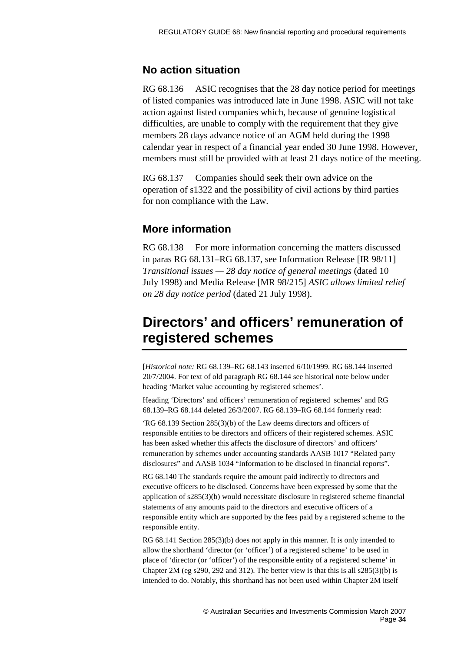### **No action situation**

RG 68.136 ASIC recognises that the 28 day notice period for meetings of listed companies was introduced late in June 1998. ASIC will not take action against listed companies which, because of genuine logistical difficulties, are unable to comply with the requirement that they give members 28 days advance notice of an AGM held during the 1998 calendar year in respect of a financial year ended 30 June 1998. However, members must still be provided with at least 21 days notice of the meeting.

RG 68.137 Companies should seek their own advice on the operation of s1322 and the possibility of civil actions by third parties for non compliance with the Law.

### **More information**

RG 68.138 For more information concerning the matters discussed in paras RG 68.131–RG 68.137, see Information Release [IR 98/11] *Transitional issues — 28 day notice of general meetings* (dated 10 July 1998) and Media Release [MR 98/215] *ASIC allows limited relief on 28 day notice period* (dated 21 July 1998).

## <span id="page-33-0"></span>**Directors' and officers' remuneration of registered schemes**

[*Historical note:* RG 68.139–RG 68.143 inserted 6/10/1999. RG 68.144 inserted 20/7/2004. For text of old paragraph RG 68.144 see historical note below under heading 'Market value accounting by registered schemes'.

Heading 'Directors' and officers' remuneration of registered schemes' and RG 68.139–RG 68.144 deleted 26/3/2007. RG 68.139–RG 68.144 formerly read:

'RG 68.139 Section 285(3)(b) of the Law deems directors and officers of responsible entities to be directors and officers of their registered schemes. ASIC has been asked whether this affects the disclosure of directors' and officers' remuneration by schemes under accounting standards AASB 1017 "Related party disclosures" and AASB 1034 "Information to be disclosed in financial reports".

RG 68.140 The standards require the amount paid indirectly to directors and executive officers to be disclosed. Concerns have been expressed by some that the application of s285(3)(b) would necessitate disclosure in registered scheme financial statements of any amounts paid to the directors and executive officers of a responsible entity which are supported by the fees paid by a registered scheme to the responsible entity.

RG 68.141 Section 285(3)(b) does not apply in this manner. It is only intended to allow the shorthand 'director (or 'officer') of a registered scheme' to be used in place of 'director (or 'officer') of the responsible entity of a registered scheme' in Chapter 2M (eg s290, 292 and 312). The better view is that this is all  $s285(3)(b)$  is intended to do. Notably, this shorthand has not been used within Chapter 2M itself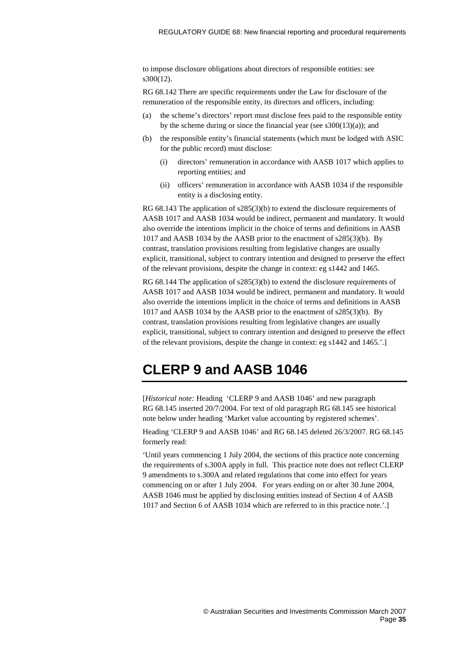to impose disclosure obligations about directors of responsible entities: see s300(12).

RG 68.142 There are specific requirements under the Law for disclosure of the remuneration of the responsible entity, its directors and officers, including:

- (a) the scheme's directors' report must disclose fees paid to the responsible entity by the scheme during or since the financial year (see  $s300(13)(a)$ ); and
- (b) the responsible entity's financial statements (which must be lodged with ASIC for the public record) must disclose:
	- (i) directors' remuneration in accordance with AASB 1017 which applies to reporting entities; and
	- (ii) officers' remuneration in accordance with AASB 1034 if the responsible entity is a disclosing entity.

RG 68.143 The application of s285(3)(b) to extend the disclosure requirements of AASB 1017 and AASB 1034 would be indirect, permanent and mandatory. It would also override the intentions implicit in the choice of terms and definitions in AASB 1017 and AASB 1034 by the AASB prior to the enactment of s285(3)(b). By contrast, translation provisions resulting from legislative changes are usually explicit, transitional, subject to contrary intention and designed to preserve the effect of the relevant provisions, despite the change in context: eg s1442 and 1465.

RG 68.144 The application of s285(3)(b) to extend the disclosure requirements of AASB 1017 and AASB 1034 would be indirect, permanent and mandatory. It would also override the intentions implicit in the choice of terms and definitions in AASB 1017 and AASB 1034 by the AASB prior to the enactment of s285(3)(b). By contrast, translation provisions resulting from legislative changes are usually explicit, transitional, subject to contrary intention and designed to preserve the effect of the relevant provisions, despite the change in context: eg s1442 and 1465.'.]

## <span id="page-34-0"></span>**CLERP 9 and AASB 1046**

[*Historical note:* Heading 'CLERP 9 and AASB 1046' and new paragraph RG 68.145 inserted 20/7/2004. For text of old paragraph RG 68.145 see historical note below under heading 'Market value accounting by registered schemes'.

Heading 'CLERP 9 and AASB 1046' and RG 68.145 deleted 26/3/2007. RG 68.145 formerly read:

'Until years commencing 1 July 2004, the sections of this practice note concerning the requirements of s.300A apply in full. This practice note does not reflect CLERP 9 amendments to s.300A and related regulations that come into effect for years commencing on or after 1 July 2004. For years ending on or after 30 June 2004, AASB 1046 must be applied by disclosing entities instead of Section 4 of AASB 1017 and Section 6 of AASB 1034 which are referred to in this practice note.'.]